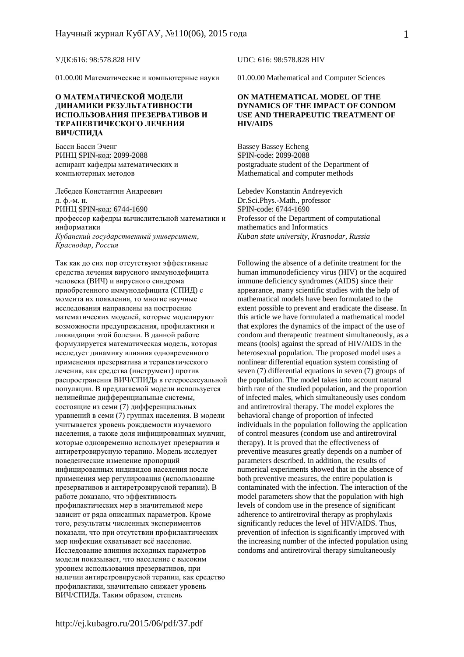01.00.00 Математические и компьютерные науки 01.00.00 Mathematical and Computer Sciences

#### **О МАТЕМАТИЧЕСКОЙ МОДЕЛИ ДИНАМИКИ РЕЗУЛЬТАТИВНОСТИ ИСПОЛЬЗОВАНИЯ ПРЕЗЕРВАТИВОВ И ТЕРАПЕВТИЧЕСКОГО ЛЕЧЕНИЯ ВИЧ/СПИДА**

Басси Басси Эченг РИНЦ SPIN-код: 2099-2088 аспирант кафедры математических и компьютерных методов

Лебедев Константин Андреевич Lebedev Konstantin Andreyevich д. ф.-м. н. РИНЦ SPIN-код: 6744-1690 профессор кафедры вычислительной математики и информатики *Кубанский государственный университет, Краснодар, Россия*

Так как до сих пор отсутствуют эффективные средства лечения вирусного иммунодефицита человека (ВИЧ) и вирусного синдрома приобретенного иммунодефицита (СПИД) с момента их появления, то многие научные исследования направлены на построение математических моделей, которые моделируют возможности предупреждения, профилактики и ликвидации этой болезни. В данной работе формулируется математическая модель, которая исследует динамику влияния одновременного применения презерватива и терапевтического лечения, как средства (инструмент) против распространения ВИЧ/СПИДа в гетеросексуальной популяции. В предлагаемой модели используется нелинейные дифференциальные системы, состоящие из семи (7) дифференциальных уравнений в семи (7) группах населения. В модели учитывается уровень рождаемости изучаемого населения, а также доля инфицированных мужчин, которые одновременно использует презерватив и антиретровирусную терапию. Модель исследует поведенческие изменение пропорций инфицированных индивидов населения после применения мер регулирования (использование презервативов и антиретровирусной терапии). В работе доказано, что эффективность профилактических мер в значительной мере зависит от ряда описанных параметров. Кроме того, результаты численных экспериментов показали, что при отсутствии профилактических мер инфекция охватывает всё население. Исследование влияния исходных параметров модели показывает, что население с высоким уровнем использования презервативов, при наличии антиретровирусной терапии, как средство профилактики, значительно снижает уровень ВИЧ/СПИДа. Таким образом, степень

УДК:616: 98:578.828 HIV UDC: 616: 98:578.828 HIV

#### **ON MATHEMATICAL MODEL OF THE DYNAMICS OF THE IMPACT OF CONDOM USE AND THERAPEUTIC TREATMENT OF HIV/AIDS**

Bassey Bassey Echeng SPIN-code: 2099-2088 postgraduate student of the Department of Mathematical and computer methods

Dr.Sci.Phys.-Math., professor SPIN-code: 6744-1690 Professor of the Department of computational mathematics and Informatics *Kuban state university, Krasnodar, Russia* 

Following the absence of a definite treatment for the human immunodeficiency virus (HIV) or the acquired immune deficiency syndromes (AIDS) since their appearance, many scientific studies with the help of mathematical models have been formulated to the extent possible to prevent and eradicate the disease. In this article we have formulated a mathematical model that explores the dynamics of the impact of the use of condom and therapeutic treatment simultaneously, as a means (tools) against the spread of HIV/AIDS in the heterosexual population. The proposed model uses a nonlinear differential equation system consisting of seven (7) differential equations in seven (7) groups of the population. The model takes into account natural birth rate of the studied population, and the proportion of infected males, which simultaneously uses condom and antiretroviral therapy. The model explores the behavioral change of proportion of infected individuals in the population following the application of control measures (condom use and antiretroviral therapy). It is proved that the effectiveness of preventive measures greatly depends on a number of parameters described. In addition, the results of numerical experiments showed that in the absence of both preventive measures, the entire population is contaminated with the infection. The interaction of the model parameters show that the population with high levels of condom use in the presence of significant adherence to antiretroviral therapy as prophylaxis significantly reduces the level of HIV/AIDS. Thus, prevention of infection is significantly improved with the increasing number of the infected population using condoms and antiretroviral therapy simultaneously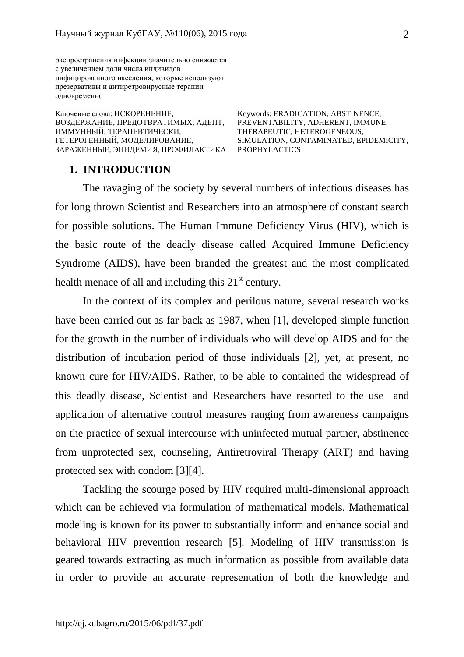распространения инфекции значительно снижается с увеличением доли числа индивидов инфицированного населения, которые используют презервативы и антиретровирусные терапии одновременно

Ключевые слова: ИСКОРЕНЕНИЕ, ВОЗДЕРЖАНИЕ, ПРЕДОТВРАТИМЫХ, АДЕПТ, ИММУННЫЙ, ТЕРАПЕВТИЧЕСКИ, ГЕТЕРОГЕННЫЙ, МОДЕЛИРОВАНИЕ, ЗАРАЖЕННЫЕ, ЭПИДЕМИЯ, ПРОФИЛАКТИКА PROPHYLACTICS

Keywords: ERADICATION, ABSTINENCE, PREVENTABILITY, ADHERENT, IMMUNE, THERAPEUTIC, HETEROGENEOUS, SIMULATION, CONTAMINATED, EPIDEMICITY,

#### **1. INTRODUCTION**

The ravaging of the society by several numbers of infectious diseases has for long thrown Scientist and Researchers into an atmosphere of constant search for possible solutions. The Human Immune Deficiency Virus (HIV), which is the basic route of the deadly disease called Acquired Immune Deficiency Syndrome (AIDS), have been branded the greatest and the most complicated health menace of all and including this  $21<sup>st</sup>$  century.

In the context of its complex and perilous nature, several research works have been carried out as far back as 1987, when [1], developed simple function for the growth in the number of individuals who will develop AIDS and for the distribution of incubation period of those individuals [2], yet, at present, no known cure for HIV/AIDS. Rather, to be able to contained the widespread of this deadly disease, Scientist and Researchers have resorted to the use and application of alternative control measures ranging from awareness campaigns on the practice of sexual intercourse with uninfected mutual partner, abstinence from unprotected sex, counseling, Antiretroviral Therapy (ART) and having protected sex with condom [3][4].

Tackling the scourge posed by HIV required multi-dimensional approach which can be achieved via formulation of mathematical models. Mathematical modeling is known for its power to substantially inform and enhance social and behavioral HIV prevention research [5]. Modeling of HIV transmission is geared towards extracting as much information as possible from available data in order to provide an accurate representation of both the knowledge and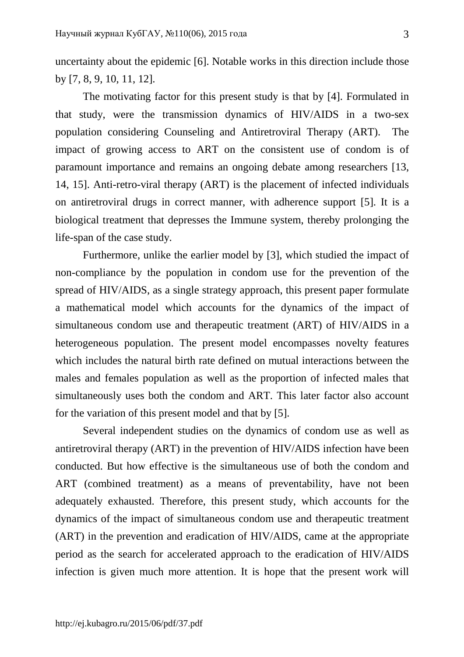uncertainty about the epidemic [6]. Notable works in this direction include those by [7, 8, 9, 10, 11, 12].

The motivating factor for this present study is that by [4]. Formulated in that study, were the transmission dynamics of HIV/AIDS in a two-sex population considering Counseling and Antiretroviral Therapy (ART). The impact of growing access to ART on the consistent use of condom is of paramount importance and remains an ongoing debate among researchers [13, 14, 15]. Anti-retro-viral therapy (ART) is the placement of infected individuals on antiretroviral drugs in correct manner, with adherence support [5]. It is a biological treatment that depresses the Immune system, thereby prolonging the life-span of the case study.

Furthermore, unlike the earlier model by [3], which studied the impact of non-compliance by the population in condom use for the prevention of the spread of HIV/AIDS, as a single strategy approach, this present paper formulate a mathematical model which accounts for the dynamics of the impact of simultaneous condom use and therapeutic treatment (ART) of HIV/AIDS in a heterogeneous population. The present model encompasses novelty features which includes the natural birth rate defined on mutual interactions between the males and females population as well as the proportion of infected males that simultaneously uses both the condom and ART. This later factor also account for the variation of this present model and that by [5].

Several independent studies on the dynamics of condom use as well as antiretroviral therapy (ART) in the prevention of HIV/AIDS infection have been conducted. But how effective is the simultaneous use of both the condom and ART (combined treatment) as a means of preventability, have not been adequately exhausted. Therefore, this present study, which accounts for the dynamics of the impact of simultaneous condom use and therapeutic treatment (ART) in the prevention and eradication of HIV/AIDS, came at the appropriate period as the search for accelerated approach to the eradication of HIV/AIDS infection is given much more attention. It is hope that the present work will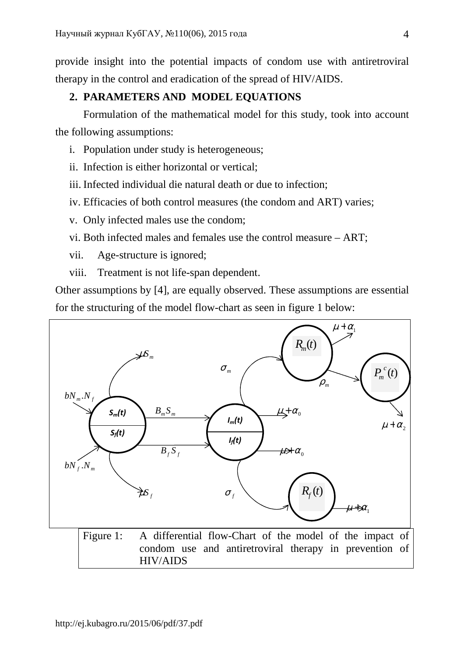provide insight into the potential impacts of condom use with antiretroviral therapy in the control and eradication of the spread of HIV/AIDS.

# **2. PARAMETERS AND MODEL EQUATIONS**

 Formulation of the mathematical model for this study, took into account the following assumptions:

- i. Population under study is heterogeneous;
- ii. Infection is either horizontal or vertical;
- iii. Infected individual die natural death or due to infection;
- iv. Efficacies of both control measures (the condom and ART) varies;
- v. Only infected males use the condom;
- vi. Both infected males and females use the control measure ART;
- vii. Age-structure is ignored;
- viii. Treatment is not life-span dependent.

Other assumptions by [4], are equally observed. These assumptions are essential for the structuring of the model flow-chart as seen in figure 1 below:

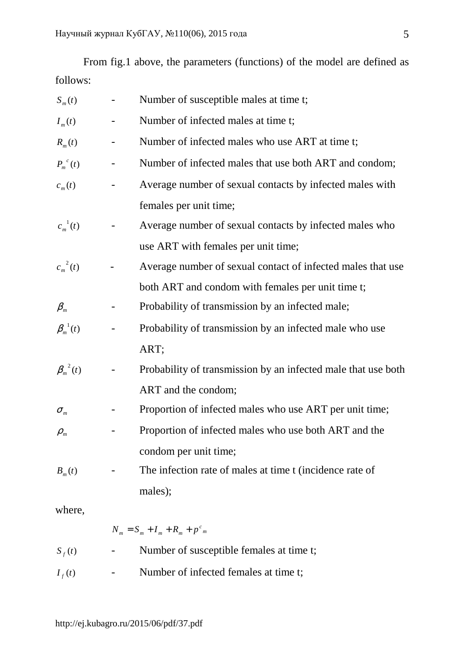From fig.1 above, the parameters (functions) of the model are defined as follows:

| $S_m(t)$                        | Number of susceptible males at time t;                        |
|---------------------------------|---------------------------------------------------------------|
| $I_m(t)$                        | Number of infected males at time t;                           |
| $R_m(t)$                        | Number of infected males who use ART at time t;               |
| $P_m^{\ c}(t)$                  | Number of infected males that use both ART and condom;        |
| $c_m(t)$                        | Average number of sexual contacts by infected males with      |
|                                 | females per unit time;                                        |
| $c_m^{-1}(t)$                   | Average number of sexual contacts by infected males who       |
|                                 | use ART with females per unit time;                           |
| $c_m^2(t)$                      | Average number of sexual contact of infected males that use   |
|                                 | both ART and condom with females per unit time t;             |
| $\beta_m$                       | Probability of transmission by an infected male;              |
| $\beta_m^{\,1}(t)$              | Probability of transmission by an infected male who use       |
|                                 | ART;                                                          |
| $\beta_m^{\,2}(t)$              | Probability of transmission by an infected male that use both |
|                                 | ART and the condom;                                           |
| $\sigma_{\scriptscriptstyle m}$ | Proportion of infected males who use ART per unit time;       |
| $\rho_{\scriptscriptstyle m}$   | Proportion of infected males who use both ART and the         |
|                                 | condom per unit time;                                         |
| $B_m(t)$                        | The infection rate of males at time t (incidence rate of      |
|                                 | males);                                                       |
| where,                          |                                                               |

 $N_m = S_m + I_m + R_m + p^c_m$  $S_f(t)$  - Number of susceptible females at time t;  $I_f(t)$ - Number of infected females at time t;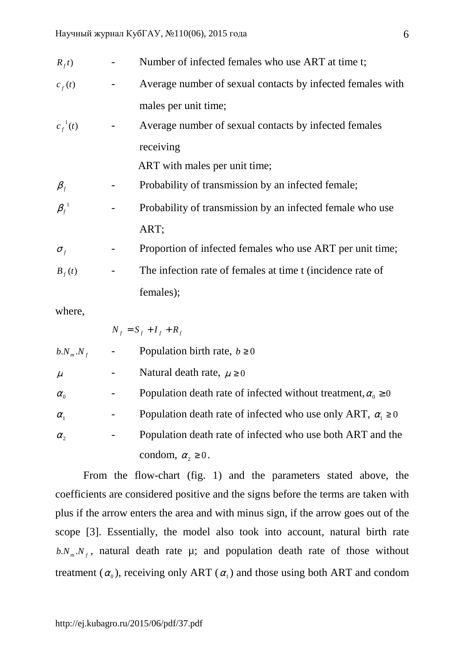| $R_{f}$ t)                                              |   | Number of infected females who use ART at time t;          |
|---------------------------------------------------------|---|------------------------------------------------------------|
| $c_f(t)$                                                |   | Average number of sexual contacts by infected females with |
|                                                         |   | males per unit time;                                       |
| $c_f^{-1}(t)$                                           |   | Average number of sexual contacts by infected females      |
|                                                         |   | receiving                                                  |
|                                                         |   | ART with males per unit time;                              |
| $\beta_{\scriptscriptstyle{f}}$                         |   | Probability of transmission by an infected female;         |
| $\beta_{\scriptscriptstyle{f}}^{\scriptscriptstyle -1}$ |   | Probability of transmission by an infected female who use  |
|                                                         |   | ART;                                                       |
| $\sigma_{\scriptscriptstyle{f}}$                        |   | Proportion of infected females who use ART per unit time;  |
| $B_{f}(t)$                                              | - | The infection rate of females at time t (incidence rate of |
|                                                         |   | females);                                                  |
| where,                                                  |   |                                                            |

 $N_f = S_f + I_f + R_f$  $b$   $N_m$   $N_f$ - Population birth rate,  $b \ge 0$  $\mu$  - Natural death rate,  $\mu \ge 0$  $\alpha_{\scriptscriptstyle 0}$ Population death rate of infected without treatment,  $\alpha_0 \ge 0$  $\alpha_{1}$ - Population death rate of infected who use only ART,  $\alpha_1 \ge 0$  $\alpha$ , - Population death rate of infected who use both ART and the condom,  $\alpha_2 \geq 0$ .

 From the flow-chart (fig. 1) and the parameters stated above, the coefficients are considered positive and the signs before the terms are taken with plus if the arrow enters the area and with minus sign, if the arrow goes out of the scope [3]. Essentially, the model also took into account, natural birth rate  $b.N_m.N_f$ , natural death rate  $\mu$ ; and population death rate of those without treatment  $(\alpha_0)$ , receiving only ART  $(\alpha_1)$  and those using both ART and condom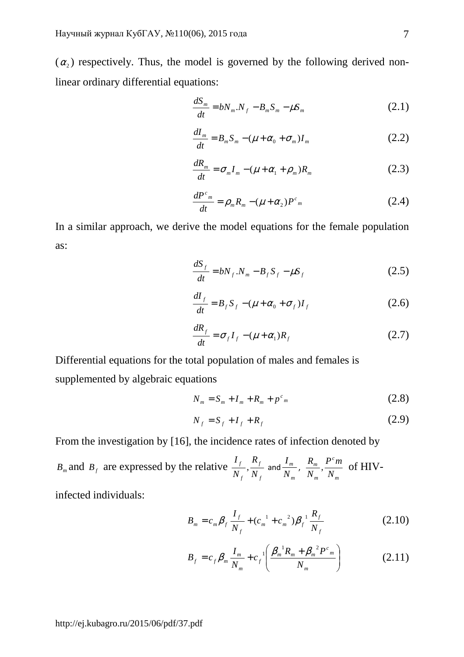$(\alpha_2)$  respectively. Thus, the model is governed by the following derived nonlinear ordinary differential equations:

$$
\frac{dS_m}{dt} = bN_m.N_f - B_m S_m - \mu S_m \tag{2.1}
$$

$$
\frac{dI_m}{dt} = B_m S_m - (\mu + \alpha_0 + \sigma_m)I_m \tag{2.2}
$$

$$
\frac{dR_m}{dt} = \sigma_m I_m - (\mu + \alpha_1 + \rho_m)R_m \tag{2.3}
$$

$$
\frac{dP^c_m}{dt} = \rho_m R_m - (\mu + \alpha_2) P^c_m \tag{2.4}
$$

In a similar approach, we derive the model equations for the female population as:

$$
\frac{dS_f}{dt} = bN_f N_m - B_f S_f - \mu S_f \qquad (2.5)
$$

$$
\frac{dI_f}{dt} = B_f S_f - (\mu + \alpha_0 + \sigma_f)I_f
$$
 (2.6)

$$
\frac{dR_f}{dt} = \sigma_f I_f - (\mu + \alpha_1)R_f \tag{2.7}
$$

Differential equations for the total population of males and females is supplemented by algebraic equations

$$
N_m = S_m + I_m + R_m + p^c{}_m \tag{2.8}
$$

$$
N_f = S_f + I_f + R_f \tag{2.9}
$$

From the investigation by [16], the incidence rates of infection denoted by

 $B_m$  and  $B_f$  are expressed by the relative *f f f f N R N I*  $,\frac{J}{\sqrt{2}}$  and *m m N*  $\frac{I_m}{I_m}$ , *m c m m N*  $P^{c}m$ *N*  $\frac{R_m}{N}$ ,  $\frac{P^c m}{N}$  of HIV-

infected individuals:

$$
B_m = c_m \beta_f \frac{I_f}{N_f} + (c_m^{-1} + c_m^{-2}) \beta_f^{-1} \frac{R_f}{N_f}
$$
 (2.10)

$$
B_f = c_f \beta_m \frac{I_m}{N_m} + c_f^{-1} \left( \frac{\beta_m^{-1} R_m + \beta_m^{-2} P^c_m}{N_m} \right)
$$
 (2.11)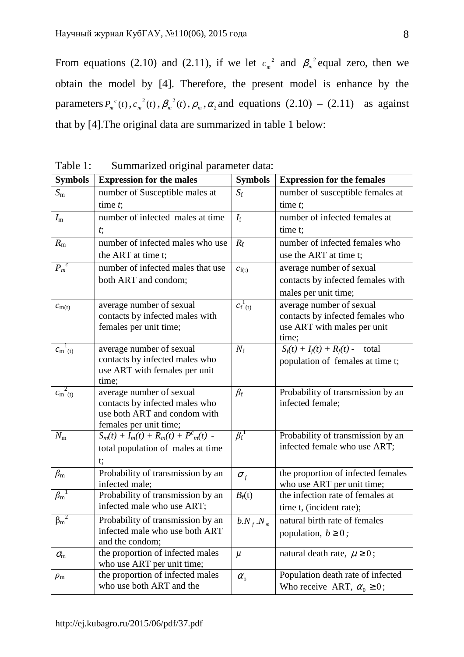From equations (2.10) and (2.11), if we let  $c_m^2$  and  $\beta_m^2$  equal zero, then we obtain the model by [4]. Therefore, the present model is enhance by the parameters  $P_m^{\ c}(t)$  $p_m^{\ c}(t), c_m^{\ 2}(t), \beta_m^{\ 2}(t), \rho_m, \alpha_2$  and equations  $(2.10) - (2.11)$  as against that by [4].The original data are summarized in table 1 below:

| <b>Symbols</b>                 | <b>Expression for the males</b>                                         | <b>Symbols</b>                   | <b>Expression for the females</b>                                      |
|--------------------------------|-------------------------------------------------------------------------|----------------------------------|------------------------------------------------------------------------|
| $S_{\rm m}$                    | number of Susceptible males at                                          | $S_{\rm f}$                      | number of susceptible females at                                       |
|                                | time $t$ ;                                                              |                                  | time $t$ ;                                                             |
| $I_{\rm m}$                    | number of infected males at time                                        | $I_{\rm f}$                      | number of infected females at                                          |
|                                | $t$ ;                                                                   |                                  | time t;                                                                |
| $R_{\rm m}$                    | number of infected males who use                                        | $R_{\rm f}$                      | number of infected females who                                         |
|                                | the ART at time t;                                                      |                                  | use the ART at time t;                                                 |
| $P_m^c$                        | number of infected males that use                                       | $c_{f(t)}$                       | average number of sexual                                               |
|                                | both ART and condom;                                                    |                                  | contacts by infected females with                                      |
|                                |                                                                         |                                  | males per unit time;                                                   |
| $c_{m(t)}$                     | average number of sexual                                                | $c_{f}^{1}$ <sub>(t)</sub>       | average number of sexual                                               |
|                                | contacts by infected males with                                         |                                  | contacts by infected females who                                       |
|                                | females per unit time;                                                  |                                  | use ART with males per unit                                            |
| $c_{\rm m}^{1}$ <sub>(t)</sub> |                                                                         | $N_{\rm f}$                      | time;                                                                  |
|                                | average number of sexual<br>contacts by infected males who              |                                  | $S_f(t) + I_f(t) + R_f(t)$ - total<br>population of females at time t; |
|                                | use ART with females per unit                                           |                                  |                                                                        |
|                                | time;                                                                   |                                  |                                                                        |
| $c_{\rm m}^{2}$ <sub>(t)</sub> | average number of sexual                                                | $\beta_{\rm f}$                  | Probability of transmission by an                                      |
|                                | contacts by infected males who                                          |                                  | infected female;                                                       |
|                                | use both ART and condom with                                            |                                  |                                                                        |
| $N_{\rm m}$                    | females per unit time;<br>$S_m(t)$ + $I_m(t)$ + $R_m(t)$ + $P^c_m(t)$ - | $\beta_{\rm f}^{\rm -1}$         | Probability of transmission by an                                      |
|                                | total population of males at time                                       |                                  | infected female who use ART;                                           |
|                                | t;                                                                      |                                  |                                                                        |
| $\beta_{\rm m}$                | Probability of transmission by an                                       |                                  | the proportion of infected females                                     |
|                                | infected male;                                                          | $\sigma_{\scriptscriptstyle{f}}$ | who use ART per unit time;                                             |
| $\beta_{\rm m}{}^1$            | Probability of transmission by an                                       | $B_{\rm f}(t)$                   | the infection rate of females at                                       |
|                                | infected male who use ART;                                              |                                  | time t, (incident rate);                                               |
| $\beta_m^2$                    | Probability of transmission by an                                       | $b.N_{f}.N_{m}$                  | natural birth rate of females                                          |
|                                | infected male who use both ART                                          |                                  | population, $b \geq 0$ ;                                               |
|                                | and the condom;                                                         |                                  |                                                                        |
| $\sigma_{\rm m}$               | the proportion of infected males                                        | $\mu$                            | natural death rate, $\mu \geq 0$ ;                                     |
|                                | who use ART per unit time;<br>the proportion of infected males          |                                  | Population death rate of infected                                      |
| $\rho_{\rm m}$                 | who use both ART and the                                                | $\alpha_{0}$                     | Who receive ART, $\alpha_0 \ge 0$ ;                                    |
|                                |                                                                         |                                  |                                                                        |

Table 1: Summarized original parameter data: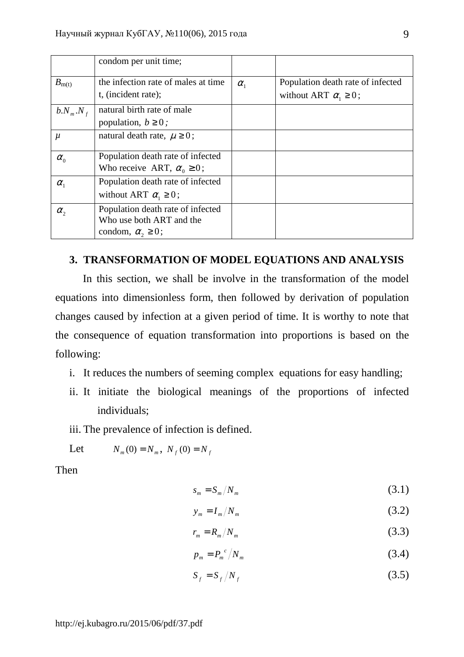|                | condom per unit time;               |              |                                   |
|----------------|-------------------------------------|--------------|-----------------------------------|
| $B_{\rm m(t)}$ | the infection rate of males at time | $\alpha_{1}$ | Population death rate of infected |
|                | t, (incident rate);                 |              | without ART $\alpha_i \geq 0$ ;   |
| $b.N_m.N_f$    | natural birth rate of male          |              |                                   |
|                | population, $b \geq 0$ ;            |              |                                   |
| $\mu$          | natural death rate, $\mu \geq 0$ ;  |              |                                   |
|                |                                     |              |                                   |
| $\alpha_{0}$   | Population death rate of infected   |              |                                   |
|                | Who receive ART, $\alpha_0 \ge 0$ ; |              |                                   |
| $\alpha_{1}$   | Population death rate of infected   |              |                                   |
|                | without ART $\alpha_i \geq 0$ ;     |              |                                   |
| $\alpha_{2}$   | Population death rate of infected   |              |                                   |
|                | Who use both ART and the            |              |                                   |
|                | condom, $\alpha$ , $\geq$ 0;        |              |                                   |
|                |                                     |              |                                   |

## **3. TRANSFORMATION OF MODEL EQUATIONS AND ANALYSIS**

In this section, we shall be involve in the transformation of the model equations into dimensionless form, then followed by derivation of population changes caused by infection at a given period of time. It is worthy to note that the consequence of equation transformation into proportions is based on the following:

- i. It reduces the numbers of seeming complex equations for easy handling;
- ii. It initiate the biological meanings of the proportions of infected individuals;
- iii. The prevalence of infection is defined.

Let 
$$
N_m(0) = N_m
$$
,  $N_f(0) = N_f$ 

Then

$$
s_m = S_m / N_m \tag{3.1}
$$

$$
y_m = I_m / N_m \tag{3.2}
$$

$$
r_m = R_m / N_m \tag{3.3}
$$

$$
p_m = P_m^{\ c}/N_m \tag{3.4}
$$

$$
S_f = S_f / N_f \tag{3.5}
$$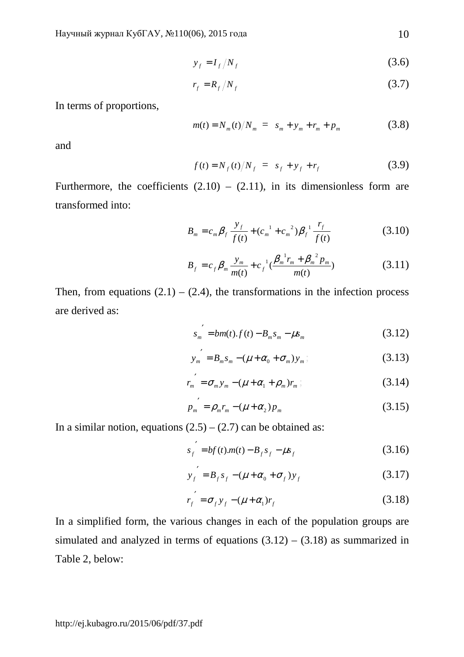$$
y_f = I_f / N_f \tag{3.6}
$$

$$
r_f = R_f / N_f \tag{3.7}
$$

In terms of proportions,

$$
m(t) = N_m(t)/N_m = s_m + y_m + r_m + p_m \tag{3.8}
$$

and

$$
f(t) = N_f(t)/N_f = s_f + y_f + r_f \tag{3.9}
$$

Furthermore, the coefficients  $(2.10) - (2.11)$ , in its dimensionless form are transformed into:

$$
B_m = c_m \beta_f \frac{y_f}{f(t)} + (c_m^{-1} + c_m^{-2}) \beta_f^{-1} \frac{r_f}{f(t)}
$$
(3.10)

$$
B_f = c_f \beta_m \frac{y_m}{m(t)} + c_f^{-1} \left( \frac{\beta_m^{-1} r_m + \beta_m^{-2} p_m}{m(t)} \right)
$$
 (3.11)

Then, from equations  $(2.1) - (2.4)$ , the transformations in the infection process are derived as:

$$
s_m' = bm(t).f(t) - B_m s_m - \mu s_m \tag{3.12}
$$

$$
y_{m}' = B_{m}s_{m} - (\mu + \alpha_{0} + \sigma_{m})y_{m};
$$
\n(3.13)

$$
r_{m}^{'} = \sigma_{m} y_{m} - (\mu + \alpha_{1} + \rho_{m}) r_{m};
$$
 (3.14)

$$
p_{m}^{\prime} = \rho_{m} r_{m} - (\mu + \alpha_{2}) p_{m}
$$
 (3.15)

In a similar notion, equations  $(2.5) - (2.7)$  can be obtained as:

$$
s'_{f} = bf(t)m(t) - B_{f}s_{f} - \mu s_{f}
$$
 (3.16)

$$
y_f' = B_f s_f - (\mu + \alpha_0 + \sigma_f) y_f
$$
 (3.17)

$$
r_f' = \sigma_f y_f - (\mu + \alpha_1) r_f \tag{3.18}
$$

In a simplified form, the various changes in each of the population groups are simulated and analyzed in terms of equations  $(3.12) - (3.18)$  as summarized in Table 2, below: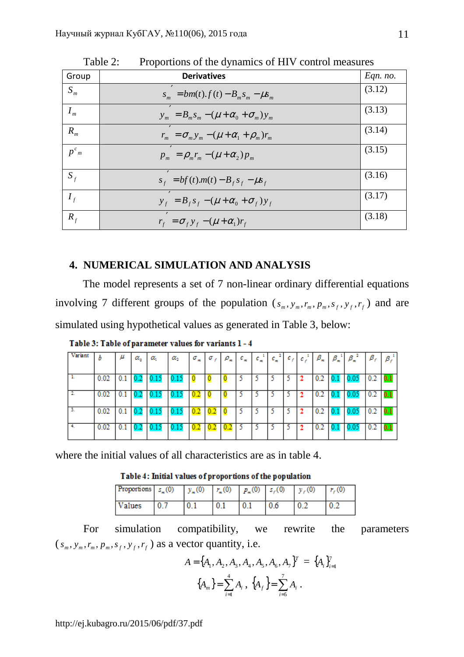| Group     | <b>Derivatives</b>                                   | Eqn. no. |
|-----------|------------------------------------------------------|----------|
| $S_m$     | $s_m = bm(t) \cdot f(t) - B_m s_m - \mu s_m$         | (3.12)   |
| $I_{m}$   | $y_m = B_m s_m - (\mu + \alpha_0 + \sigma_m) y_m$    | (3.13)   |
| $R_{m}$   | $r_m = \sigma_m y_m - (\mu + \alpha_1 + \rho_m) r_m$ | (3.14)   |
| $p^{c_m}$ | $p_m = \rho_m r_m - (\mu + \alpha_2) p_m$            | (3.15)   |
| $S_f$     | $s_f = bf(t)$ $m(t) - B_f s_f - \mu s_f$             | (3.16)   |
| $I_f$     | $y_f = B_f s_f - (\mu + \alpha_0 + \sigma_f) y_f$    | (3.17)   |
| $R_f$     | $r_f = \sigma_f y_f - (\mu + \alpha_1) r_f$          | (3.18)   |

Table 2: Proportions of the dynamics of HIV control measures

## **4. NUMERICAL SIMULATION AND ANALYSIS**

The model represents a set of 7 non-linear ordinary differential equations involving 7 different groups of the population  $(s_m, y_m, r_m, p_m, s_f, y_f, r_f)$  and are simulated using hypothetical values as generated in Table 3, below:

| Variant |      | μ   | $\alpha_{\scriptscriptstyle\alpha}$ | α    | $\alpha_{2}$ | $\sigma_{\infty}$ | σ. | $\rho_*$ | $c_{\pi}$ | $c_{\kappa}$ | $c_{\rm m}$ | $\tau$ ( $c_{f,1}$ , | c, | $\beta_{\kappa}$ | $\beta_{\kappa}$ | $\beta_{\kappa}$ | $\beta_{f}$ | $\beta_{\ell}$ |
|---------|------|-----|-------------------------------------|------|--------------|-------------------|----|----------|-----------|--------------|-------------|----------------------|----|------------------|------------------|------------------|-------------|----------------|
|         | 0.02 | 0.1 | v.z                                 | 0.15 | 0.15         | O                 |    |          |           |              |             |                      |    | 0.2              |                  | 0.05             | 0.2         | 0.1            |
|         | 0.02 | 0.1 | v.z                                 | 0.15 | 0.15         | 0.2               |    |          |           |              |             |                      |    | v.z              |                  | 0.05             | 0.2         | 0.1            |
|         | 0.02 | 0.1 | v.z                                 | 0.15 | U.ID         | 0.2               |    |          |           |              |             |                      |    | v.2              |                  | 0.05             | 0.2         | U.I            |
|         | 0.02 | V.I | v.z                                 | U.IJ | U.IJ         | v.z               |    | v.z      |           |              |             |                      |    | v.z              |                  | <b>U.U</b>       | 0.2         | 0.1            |

Table 3: Table of parameter values for variants 1 - 4

where the initial values of all characteristics are as in table 4.

Table 4: Initial values of proportions of the population

| <b>Proportions</b> $s_m(0)$ $y_m(0)$ $r_m(0)$ $p_m(0)$ $s_r(0)$ $y_r(0)$ |  |     |     | $r_c(0)$ |
|--------------------------------------------------------------------------|--|-----|-----|----------|
| Values                                                                   |  | 0.1 | 0.6 |          |

 For simulation compatibility, we rewrite the parameters  $(s_m, y_m, r_m, p_m, s_f, y_f, r_f)$  as a vector quantity, i.e.

$$
A = \{A_1, A_2, A_3, A_4, A_5, A_6, A_7\}^T = \{A_i\}_{i=1}^7
$$

$$
\{A_m\} = \sum_{i=1}^4 A_i, \{A_f\} = \sum_{i=5}^7 A_i.
$$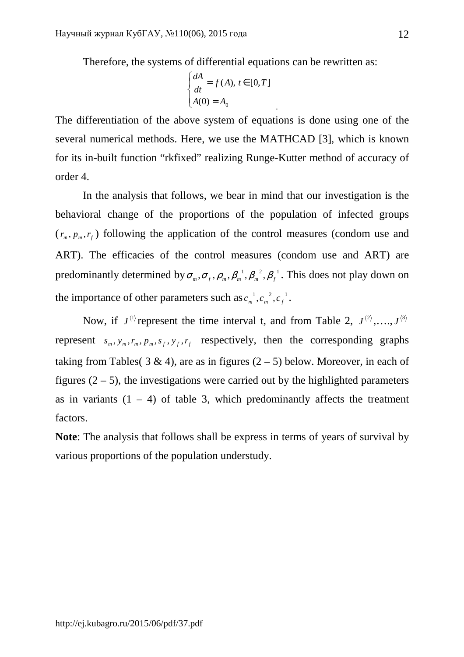Therefore, the systems of differential equations can be rewritten as:

$$
\begin{cases} \frac{dA}{dt} = f(A), \, t \in [0, T] \\ A(0) = A_0 \end{cases}
$$

.

The differentiation of the above system of equations is done using one of the several numerical methods. Here, we use the MATHCAD [3], which is known for its in-built function "rkfixed" realizing Runge-Kutter method of accuracy of order 4.

In the analysis that follows, we bear in mind that our investigation is the behavioral change of the proportions of the population of infected groups  $(r_m, p_m, r_f)$  following the application of the control measures (condom use and ART). The efficacies of the control measures (condom use and ART) are predominantly determined by  $\sigma_m$ ,  $\sigma_f$ ,  $\rho_m$ ,  $\beta_m^{-1}$ ,  $\beta_m^{-2}$ ,  $\beta_f^{-1}$ . This does not play down on the importance of other parameters such as  $c_m^{-1}$ ,  $c_m^{-2}$ ,  $c_f^{-1}$ .

Now, if  $J^{(1)}$  represent the time interval t, and from Table 2,  $J^{(2)}, \ldots, J^{(8)}$ represent  $s_m$ ,  $y_m$ ,  $r_m$ ,  $p_m$ ,  $s_f$ ,  $y_f$ ,  $r_f$  respectively, then the corresponding graphs taking from Tables( 3 & 4), are as in figures  $(2 – 5)$  below. Moreover, in each of figures  $(2 - 5)$ , the investigations were carried out by the highlighted parameters as in variants  $(1 - 4)$  of table 3, which predominantly affects the treatment factors.

**Note**: The analysis that follows shall be express in terms of years of survival by various proportions of the population understudy.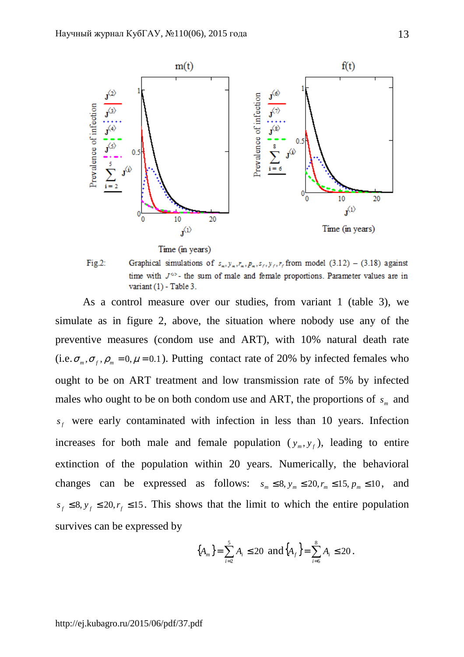

Time (in years)



As a control measure over our studies, from variant 1 (table 3), we simulate as in figure 2, above, the situation where nobody use any of the preventive measures (condom use and ART), with 10% natural death rate (i.e.  $\sigma_m$ ,  $\sigma_f$ ,  $\rho_m$  = 0,  $\mu$  = 0.1). Putting contact rate of 20% by infected females who ought to be on ART treatment and low transmission rate of 5% by infected males who ought to be on both condom use and ART, the proportions of  $s_m$  and  $s_f$  were early contaminated with infection in less than 10 years. Infection increases for both male and female population  $(y_m, y_f)$ , leading to entire extinction of the population within 20 years. Numerically, the behavioral changes can be expressed as follows:  $s_m \leq 8$ ,  $y_m \leq 20$ ,  $r_m \leq 15$ ,  $p_m \leq 10$ , and  $s_f \leq 8$ ,  $y_f \leq 20$ ,  $r_f \leq 15$ . This shows that the limit to which the entire population survives can be expressed by

$$
\{A_m\} = \sum_{i=2}^{5} A_i \le 20 \text{ and } \{A_f\} = \sum_{i=6}^{8} A_i \le 20.
$$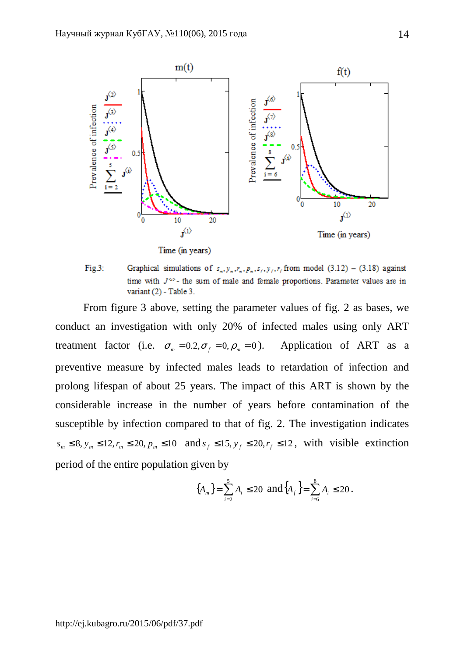

Fig.3: Graphical simulations of  $s_n, y_n, r_n, p_n, s_\ell, y_\ell, r_\ell$  from model (3.12) – (3.18) against time with  $J^{\omega}$ - the sum of male and female proportions. Parameter values are in variant  $(2)$  - Table 3.

From figure 3 above, setting the parameter values of fig. 2 as bases, we conduct an investigation with only 20% of infected males using only ART treatment factor (i.e.  $\sigma_m = 0.2$ ,  $\sigma_f = 0$ ,  $\rho_m = 0$ ). Application of ART as a preventive measure by infected males leads to retardation of infection and prolong lifespan of about 25 years. The impact of this ART is shown by the considerable increase in the number of years before contamination of the susceptible by infection compared to that of fig. 2. The investigation indicates  $s_m \leq 8$ ,  $y_m \leq 12$ ,  $r_m \leq 20$ ,  $p_m \leq 10$  and  $s_f \leq 15$ ,  $y_f \leq 20$ ,  $r_f \leq 12$ , with visible extinction period of the entire population given by

$$
\{A_m\} = \sum_{i=2}^{5} A_i \le 20 \text{ and } \{A_f\} = \sum_{i=6}^{8} A_i \le 20.
$$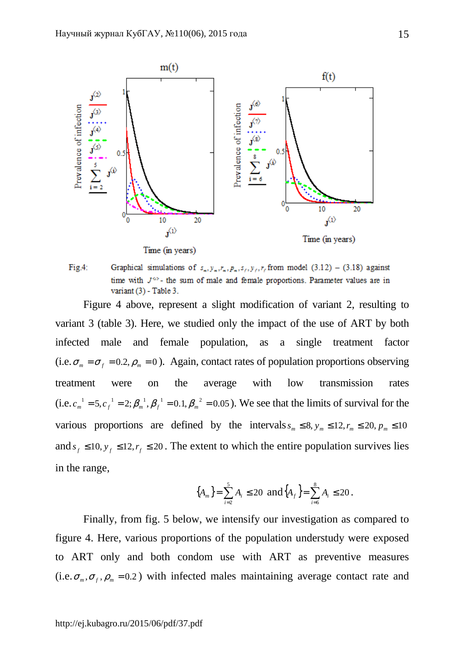

Graphical simulations of  $s_m, y_m, r_m, p_m, s_f, y_f, r_f$  from model (3.12) – (3.18) against  $Fig.4:$ time with  $J^{\omega}$ - the sum of male and female proportions. Parameter values are in variant  $(3)$  - Table 3.

Figure 4 above, represent a slight modification of variant 2, resulting to variant 3 (table 3). Here, we studied only the impact of the use of ART by both infected male and female population, as a single treatment factor (i.e.  $\sigma_m = \sigma_f = 0.2$ ,  $\rho_m = 0$ ). Again, contact rates of population proportions observing treatment were on the average with low transmission rates  $(i.e. c_m^{-1} = 5, c_f^{-1} = 2; \beta_m^{-1}, \beta_f^{-1} = 0.1, \beta_m^{-2} = 0.05$ ). We see that the limits of survival for the various proportions are defined by the intervals  $s_m \leq 8$ ,  $y_m \leq 12$ ,  $r_m \leq 20$ ,  $p_m \leq 10$ and  $s_f \leq 10$ ,  $y_f \leq 12$ ,  $r_f \leq 20$ . The extent to which the entire population survives lies in the range,

$$
\{A_m\} = \sum_{i=2}^{5} A_i \le 20 \text{ and } \{A_f\} = \sum_{i=6}^{8} A_i \le 20.
$$

Finally, from fig. 5 below, we intensify our investigation as compared to figure 4. Here, various proportions of the population understudy were exposed to ART only and both condom use with ART as preventive measures  $(i.e., \sigma_m, \sigma_f, \rho_m = 0.2)$  with infected males maintaining average contact rate and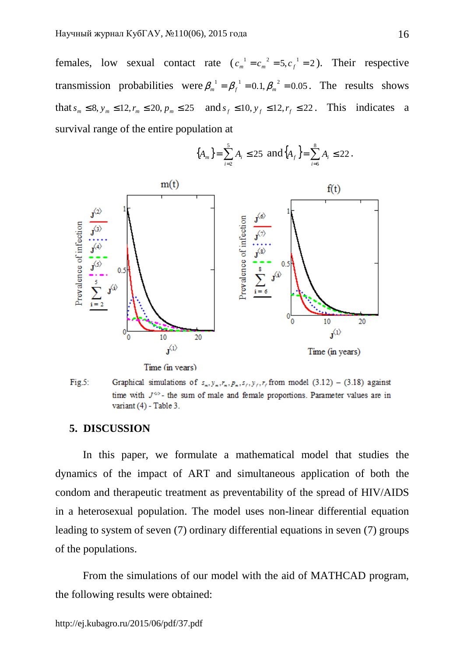females, low sexual contact rate  $(c_m^{-1} = c_m^{-2} = 5, c_f^{-1} = 2)$ . Their respective transmission probabilities were  $\beta_m^{-1} = \beta_f^{-1} = 0.1, \beta_m^{-2} = 0.05$ . The results shows that  $s_m$  ≤ 8,  $y_m$  ≤ 12,  $r_m$  ≤ 20,  $p_m$  ≤ 25 and  $s_f$  ≤ 10,  $y_f$  ≤ 12,  $r_f$  ≤ 22. This indicates a survival range of the entire population at



$$
\{A_m\} = \sum_{i=2}^{5} A_i \le 25 \text{ and } \{A_f\} = \sum_{i=6}^{8} A_i \le 22.
$$

Time (in vears)

 $Fig.5:$ Graphical simulations of  $s_n, y_n, r_n, p_n, s_i, y_i, r_i$  from model (3.12) – (3.18) against time with  $J^{\omega}$ - the sum of male and female proportions. Parameter values are in variant  $(4)$  - Table 3.

#### **5. DISCUSSION**

In this paper, we formulate a mathematical model that studies the dynamics of the impact of ART and simultaneous application of both the condom and therapeutic treatment as preventability of the spread of HIV/AIDS in a heterosexual population. The model uses non-linear differential equation leading to system of seven (7) ordinary differential equations in seven (7) groups of the populations.

From the simulations of our model with the aid of MATHCAD program, the following results were obtained: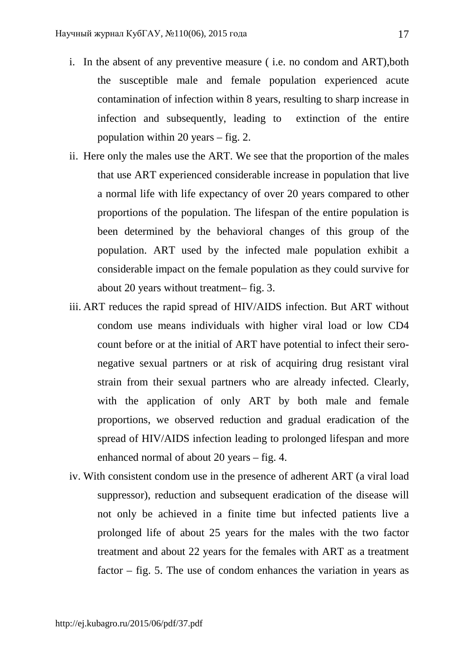- i. In the absent of any preventive measure ( i.e. no condom and ART),both the susceptible male and female population experienced acute contamination of infection within 8 years, resulting to sharp increase in infection and subsequently, leading to extinction of the entire population within 20 years – fig. 2.
- ii. Here only the males use the ART. We see that the proportion of the males that use ART experienced considerable increase in population that live a normal life with life expectancy of over 20 years compared to other proportions of the population. The lifespan of the entire population is been determined by the behavioral changes of this group of the population. ART used by the infected male population exhibit a considerable impact on the female population as they could survive for about 20 years without treatment– fig. 3.
- iii. ART reduces the rapid spread of HIV/AIDS infection. But ART without condom use means individuals with higher viral load or low CD4 count before or at the initial of ART have potential to infect their seronegative sexual partners or at risk of acquiring drug resistant viral strain from their sexual partners who are already infected. Clearly, with the application of only ART by both male and female proportions, we observed reduction and gradual eradication of the spread of HIV/AIDS infection leading to prolonged lifespan and more enhanced normal of about 20 years – fig. 4.
- iv. With consistent condom use in the presence of adherent ART (a viral load suppressor), reduction and subsequent eradication of the disease will not only be achieved in a finite time but infected patients live a prolonged life of about 25 years for the males with the two factor treatment and about 22 years for the females with ART as a treatment factor – fig. 5. The use of condom enhances the variation in years as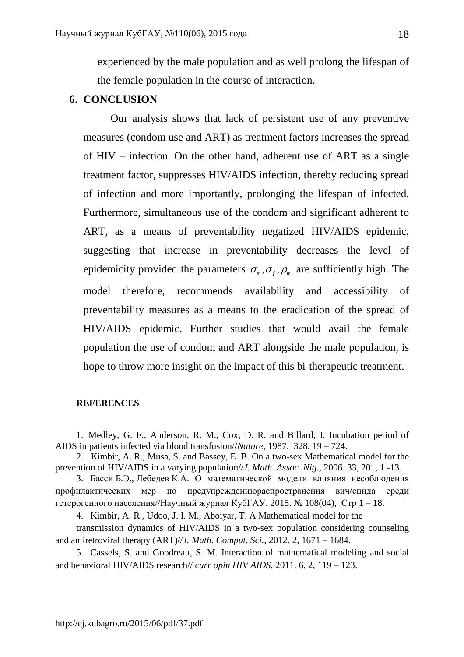experienced by the male population and as well prolong the lifespan of the female population in the course of interaction.

## **6. CONCLUSION**

Our analysis shows that lack of persistent use of any preventive measures (condom use and ART) as treatment factors increases the spread of HIV – infection. On the other hand, adherent use of ART as a single treatment factor, suppresses HIV/AIDS infection, thereby reducing spread of infection and more importantly, prolonging the lifespan of infected. Furthermore, simultaneous use of the condom and significant adherent to ART, as a means of preventability negatized HIV/AIDS epidemic, suggesting that increase in preventability decreases the level of epidemicity provided the parameters  $\sigma_m$ ,  $\sigma_f$ ,  $\rho_m$  are sufficiently high. The model therefore, recommends availability and accessibility of preventability measures as a means to the eradication of the spread of HIV/AIDS epidemic. Further studies that would avail the female population the use of condom and ART alongside the male population, is hope to throw more insight on the impact of this bi-therapeutic treatment.

#### **REFERENCES**

1. Medley, G. F., Anderson, R. M., Cox, D. R. and Billard, I. Incubation period of AIDS in patients infected via blood transfusion//*Nature*, 1987. 328, 19 – 724.

2. Kimbir, A. R., Musa, S. and Bassey, E. B. On a two-sex Mathematical model for the prevention of HIV/AIDS in a varying population//*J. Math. Assoc. Nig.,* 2006. 33, 201, 1 -13.

3. Басси Б.Э., Лебедев К.А. О математической модели влияния несоблюдения профилактических мер по предупреждениюраспространения вич/спида среди гетерогенного населения//Научный журнал КубГАУ, 2015. № 108(04), Стр 1 – 18.

4. Kimbir, A. R., Udoo, J. I. M., Aboiyar, T. A Mathematical model for the

transmission dynamics of HIV/AIDS in a two-sex population considering counseling and antiretroviral therapy (ART)//*J. Math. Comput. Sci.,* 2012. 2, 1671 – 1684.

5. Cassels, S. and Goodreau, S. M. Interaction of mathematical modeling and social and behavioral HIV/AIDS research// *curr opin HIV AIDS*, 2011. 6, 2, 119 – 123.